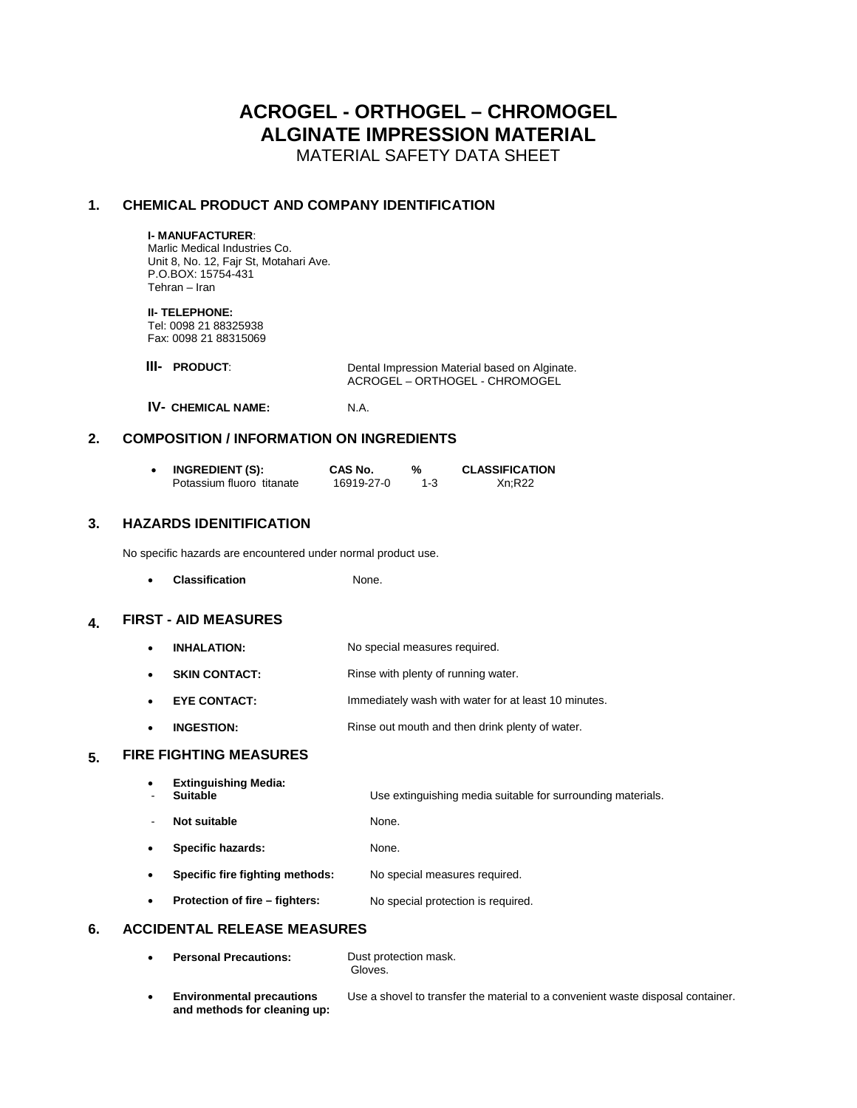# **ACROGEL - ORTHOGEL – CHROMOGEL ALGINATE IMPRESSION MATERIAL**

MATERIAL SAFETY DATA SHEET

# **1. CHEMICAL PRODUCT AND COMPANY IDENTIFICATION**

#### **I- MANUFACTURER**:

Marlic Medical Industries Co. Unit 8, No. 12, Fajr St, Motahari Ave. P.O.BOX: 15754-431 Tehran – Iran

#### **II- TELEPHONE:**

Tel: 0098 21 88325938 Fax: 0098 21 88315069

| <b>III- PRODUCT:</b> | Dental Impression Material based on Alginate. |  |
|----------------------|-----------------------------------------------|--|
|                      | ACROGEL – ORTHOGEL - CHROMOGEL                |  |

**IV- CHEMICAL NAME:** N.A.

# **2. COMPOSITION / INFORMATION ON INGREDIENTS**

| <b>INGREDIENT (S):</b>    | CAS No.    |         | <b>CLASSIFICATION</b> |
|---------------------------|------------|---------|-----------------------|
| Potassium fluoro titanate | 16919-27-0 | $1 - 3$ | Xn:R22                |

#### **3. HAZARDS IDENITIFICATION**

No specific hazards are encountered under normal product use.

**Classification** None.

## **4. FIRST - AID MEASURES**

- **INHALATION:** No special measures required.
- **SKIN CONTACT:** Rinse with plenty of running water.
- **EYE CONTACT:** Immediately wash with water for at least 10 minutes.
- **INGESTION:** Rinse out mouth and then drink plenty of water.

#### **5. FIRE FIGHTING MEASURES**

| ٠<br>-         | <b>Extinguishing Media:</b><br><b>Suitable</b> | Use extinguishing media suitable for surrounding materials. |
|----------------|------------------------------------------------|-------------------------------------------------------------|
| $\blacksquare$ | Not suitable                                   | None.                                                       |
| ٠              | Specific hazards:                              | None.                                                       |
| ٠              | Specific fire fighting methods:                | No special measures required.                               |
| ٠              | Protection of fire – fighters:                 | No special protection is required.                          |

#### **6. ACCIDENTAL RELEASE MEASURES**

| $\bullet$ | <b>Personal Precautions:</b>                                     | Dust protection mask.<br>Gloves.                                                |
|-----------|------------------------------------------------------------------|---------------------------------------------------------------------------------|
| ٠         | <b>Environmental precautions</b><br>and methods for cleaning up: | Use a shovel to transfer the material to a convenient waste disposal container. |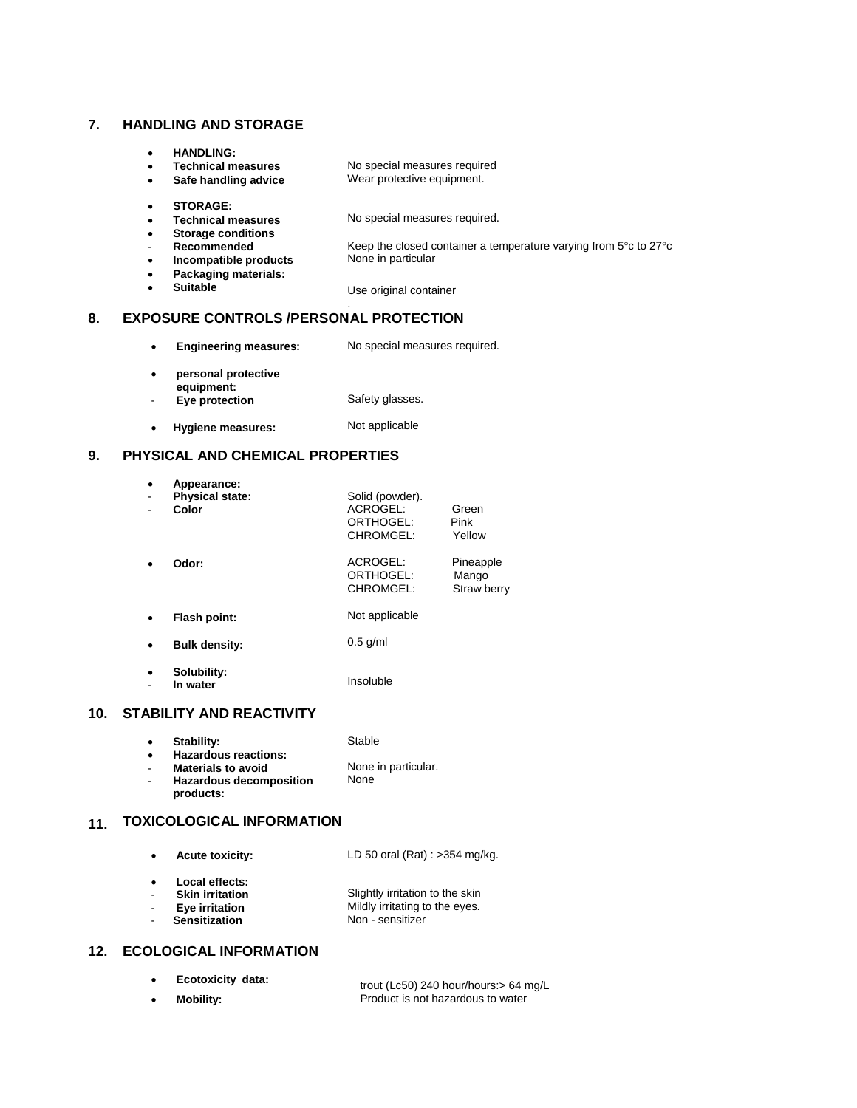#### **7. HANDLING AND STORAGE**

- **HANDLING:**
- **Technical measures Safe handling advice**

No special measures required Wear protective equipment.

**STORAGE:**

**Suitable** 

No special measures required.

 **Storage conditions** - **Recommended**

**Technical measures**

- Keep the closed container a temperature varying from  $5^{\circ}$ c to  $27^{\circ}$ c None in particular
- **Incompatible products Packaging materials:**
- Use original container

## **8. EXPOSURE CONTROLS /PERSONAL PROTECTION**

 **Engineering measures:** No special measures required.

.

- **personal protective**
- **equipment:** - **Eye protection** Safety glasses.
- **Hygiene measures:** Not applicable

## **9. PHYSICAL AND CHEMICAL PROPERTIES**

|           | Appearance:                     |                                                       |                                   |
|-----------|---------------------------------|-------------------------------------------------------|-----------------------------------|
|           | <b>Physical state:</b><br>Color | Solid (powder).<br>ACROGEL:<br>ORTHOGEL:<br>CHROMGEL: | Green<br>Pink<br>Yellow           |
|           | Odor:                           | ACROGEL:<br>ORTHOGEL:<br>CHROMGEL:                    | Pineapple<br>Mango<br>Straw berry |
|           | Flash point:                    | Not applicable                                        |                                   |
|           | <b>Bulk density:</b>            | $0.5$ g/ml                                            |                                   |
| $\bullet$ | Solubility:<br>In water         | Insoluble                                             |                                   |
|           | ------------<br>.               |                                                       |                                   |

## **10. STABILITY AND REACTIVITY**

- **Stability:** Stable
- **Hazardous reactions:** - **Materials to avoid** - **Hazardous decomposition products:** None in particular. None

## **11. TOXICOLOGICAL INFORMATION**

- **Acute toxicity: Local effects:** - **Skin irritation** LD 50 oral (Rat) : >354 mg/kg. Slightly irritation to the skin
- **Eye irritation** Mildly irritating to the eyes.
- **Sensitization** Non - sensitizer

# **12. ECOLOGICAL INFORMATION**

 **Ecotoxicity data: Mobility:** trout (Lc50) 240 hour/hours:> 64 mg/L Product is not hazardous to water